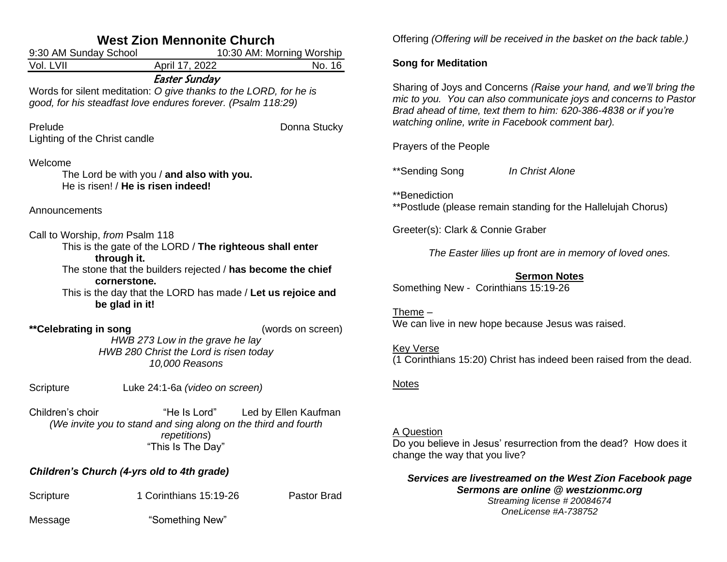| <b>West Zion Mennonite Church</b>        |                                                                                                                                                                                                                                                                            |  |                           |  |
|------------------------------------------|----------------------------------------------------------------------------------------------------------------------------------------------------------------------------------------------------------------------------------------------------------------------------|--|---------------------------|--|
| 9:30 AM Sunday School                    |                                                                                                                                                                                                                                                                            |  | 10:30 AM: Morning Worship |  |
| Vol. LVII                                | April 17, 2022                                                                                                                                                                                                                                                             |  | No. 16                    |  |
|                                          | Easter Sunday<br>Words for silent meditation: O give thanks to the LORD, for he is<br>good, for his steadfast love endures forever. (Psalm 118:29)                                                                                                                         |  |                           |  |
| Prelude<br>Lighting of the Christ candle |                                                                                                                                                                                                                                                                            |  | Donna Stucky              |  |
| Welcome                                  | The Lord be with you / and also with you.<br>He is risen! / He is risen indeed!                                                                                                                                                                                            |  |                           |  |
| Announcements                            |                                                                                                                                                                                                                                                                            |  |                           |  |
|                                          | Call to Worship, from Psalm 118<br>This is the gate of the LORD / The righteous shall enter<br>through it.<br>The stone that the builders rejected / has become the chief<br>cornerstone.<br>This is the day that the LORD has made / Let us rejoice and<br>be glad in it! |  |                           |  |
| **Celebrating in song                    | HWB 273 Low in the grave he lay<br>HWB 280 Christ the Lord is risen today<br>10,000 Reasons                                                                                                                                                                                |  | (words on screen)         |  |
| Scripture                                | Luke 24:1-6a (video on screen)                                                                                                                                                                                                                                             |  |                           |  |
| Children's choir                         | "He Is Lord"<br>(We invite you to stand and sing along on the third and fourth<br>repetitions)<br>"This Is The Day"                                                                                                                                                        |  | Led by Ellen Kaufman      |  |
|                                          | Children's Church (4-yrs old to 4th grade)                                                                                                                                                                                                                                 |  |                           |  |
| Scripture                                | 1 Corinthians 15:19-26                                                                                                                                                                                                                                                     |  | <b>Pastor Brad</b>        |  |

Message "Something New"

Offering *(Offering will be received in the basket on the back table.)*

# **Song for Meditation**

Sharing of Joys and Concerns *(Raise your hand, and we'll bring the mic to you. You can also communicate joys and concerns to Pastor Brad ahead of time, text them to him: 620-386-4838 or if you're watching online, write in Facebook comment bar).*

Prayers of the People

\*\*Sending Song *In Christ Alone*

\*\*Benediction \*\*Postlude (please remain standing for the Hallelujah Chorus)

Greeter(s): Clark & Connie Graber

*The Easter lilies up front are in memory of loved ones.*

### **Sermon Notes**

Something New - Corinthians 15:19-26

Theme –

We can live in new hope because Jesus was raised.

Key Verse (1 Corinthians 15:20) Christ has indeed been raised from the dead.

# Notes

# A Question

Do you believe in Jesus' resurrection from the dead? How does it change the way that you live?

*Services are livestreamed on the West Zion Facebook page Sermons are online @ westzionmc.org Streaming license # 20084674 OneLicense #A-738752*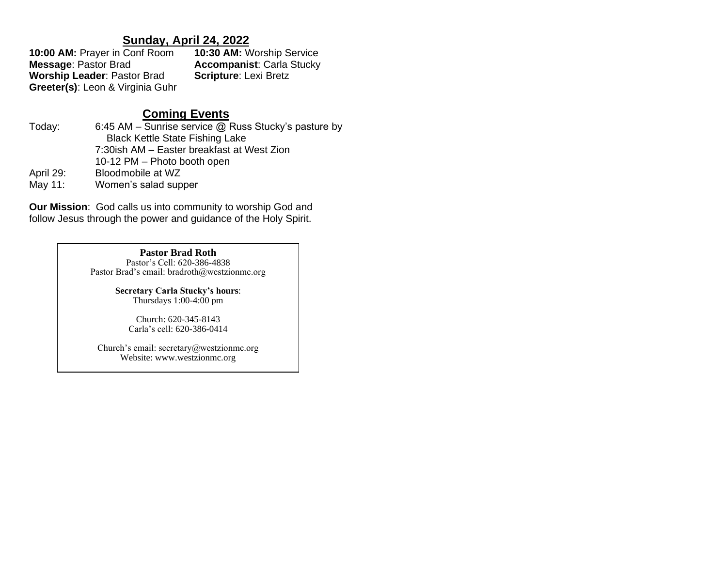# **Sunday, April 24, 2022**

**10:00 AM:** Prayer in Conf Room **10:30 AM:** Worship Service **Message**: Pastor Brad **Accompanist**: Carla Stucky **Worship Leader: Pastor Brad Greeter(s)**: Leon & Virginia Guhr

# **Coming Events**

Today: 6:45 AM – Sunrise service @ Russ Stucky's pasture by Black Kettle State Fishing Lake 7:30ish AM – Easter breakfast at West Zion 10-12 PM – Photo booth open April 29: Bloodmobile at WZ May 11: Women's salad supper

**Our Mission**: God calls us into community to worship God and follow Jesus through the power and guidance of the Holy Spirit.

#### **Pastor Brad Roth** Pastor's Cell: 620-386-4838 Pastor Brad's email: bradroth@westzionmc.org

**Secretary Carla Stucky's hours**: Thursdays 1:00-4:00 pm

> Church: 620-345-8143 Carla's cell: 620-386-0414

Church's email: secretary@westzionmc.org Website: www.westzionmc.org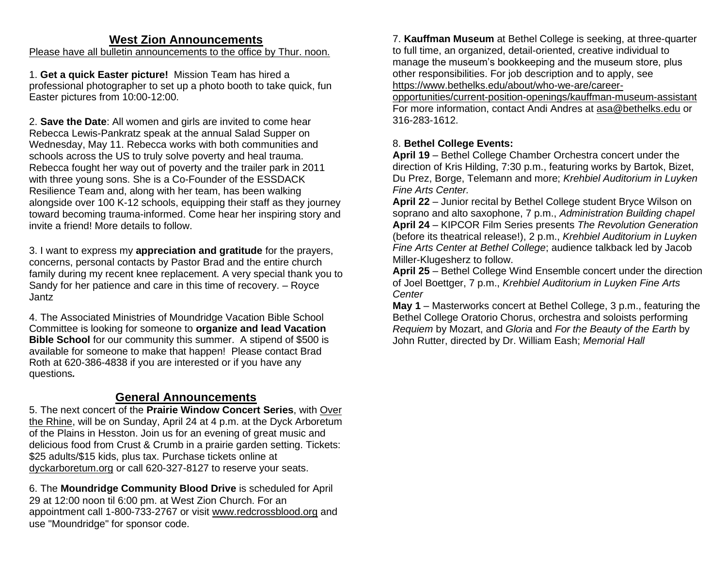# **West Zion Announcements**

Please have all bulletin announcements to the office by Thur. noon.

1. **Get a quick Easter picture!** Mission Team has hired a professional photographer to set up a photo booth to take quick, fun Easter pictures from 10:00-12:00.

2. **Save the Date**: All women and girls are invited to come hear Rebecca Lewis-Pankratz speak at the annual Salad Supper on Wednesday, May 11. Rebecca works with both communities and schools across the US to truly solve poverty and heal trauma. Rebecca fought her way out of poverty and the trailer park in 2011 with three young sons. She is a Co-Founder of the ESSDACK Resilience Team and, along with her team, has been walking alongside over 100 K-12 schools, equipping their staff as they journey toward becoming trauma-informed. Come hear her inspiring story and invite a friend! More details to follow.

3. I want to express my **appreciation and gratitude** for the prayers, concerns, personal contacts by Pastor Brad and the entire church family during my recent knee replacement. A very special thank you to Sandy for her patience and care in this time of recovery. – Royce Jantz

4. The Associated Ministries of Moundridge Vacation Bible School Committee is looking for someone to **organize and lead Vacation Bible School** for our community this summer. A stipend of \$500 is available for someone to make that happen! Please contact Brad Roth at 620-386-4838 if you are interested or if you have any questions*.*

# **General Announcements**

5. The next concert of the **Prairie Window Concert Series**, with [Over](http://dyckarboretum.org/arboretum-event/over-the-rhine)  [the Rhine,](http://dyckarboretum.org/arboretum-event/over-the-rhine) will be on Sunday, April 24 at 4 p.m. at the Dyck Arboretum of the Plains in Hesston. Join us for an evening of great music and delicious food from Crust & Crumb in a prairie garden setting. Tickets: \$25 adults/\$15 kids, plus tax. [Purchase tickets online at](http://dyckarboretum.square.site/upcoming-events)  [dyckarboretum.org](http://dyckarboretum.org/) or call [620-327-8127](tel:620-327-8127) to reserve your seats.

6. The **Moundridge Community Blood Drive** is scheduled for April 29 at 12:00 noon til 6:00 pm. at West Zion Church. For an appointment call 1-800-733-2767 or visit [www.redcrossblood.org](http://www.redcrossblood.org/) and use "Moundridge" for sponsor code.

7. **Kauffman Museum** at Bethel College is seeking, at three-quarter to full time, an organized, detail-oriented, creative individual to manage the museum's bookkeeping and the museum store, plus other responsibilities. For job description and to apply, see [https://www.bethelks.edu/about/who-we-are/career-](https://www.bethelks.edu/about/who-we-are/career-opportunities/current-position-openings/kauffman-museum-assistant)

[opportunities/current-position-openings/kauffman-museum-assistant](https://www.bethelks.edu/about/who-we-are/career-opportunities/current-position-openings/kauffman-museum-assistant) For more information, contact Andi Andres at [asa@bethelks.edu](mailto:asa@bethelks.edu) or 316-283-1612.

# 8. **Bethel College Events:**

**April 19** – Bethel College Chamber Orchestra concert under the direction of Kris Hilding, 7:30 p.m., featuring works by Bartok, Bizet, Du Prez, Borge, Telemann and more; *Krehbiel Auditorium in Luyken Fine Arts Center.*

**April 22** – Junior recital by Bethel College student Bryce Wilson on soprano and alto saxophone, 7 p.m., *Administration Building chapel* **April 24** – KIPCOR Film Series presents *The Revolution Generation*  (before its theatrical release!), 2 p.m., *Krehbiel Auditorium in Luyken Fine Arts Center at Bethel College*; audience talkback led by Jacob Miller-Klugesherz to follow.

**April 25** – Bethel College Wind Ensemble concert under the direction of Joel Boettger, 7 p.m., *Krehbiel Auditorium in Luyken Fine Arts Center*

**May 1** – Masterworks concert at Bethel College, 3 p.m., featuring the Bethel College Oratorio Chorus, orchestra and soloists performing *Requiem* by Mozart, and *Gloria* and *For the Beauty of the Earth* by John Rutter, directed by Dr. William Eash; *Memorial Hall*